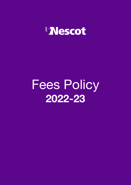

# Fees Policy **2022-23**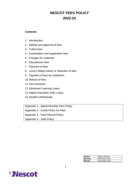# **NESCOT FEES POLICY 2022-23**

### **Contents**

- 1. Introduction
- 2. Setting and approval of fees
- 3. Tuition fees
- 4. Examination and registration fees
- 5. Charges for materials
- 6. Educational visits
- 7. Payment of fees
- 8. Local College waiver or reduction of fees
- 9. Payment of fees by instalment
- 10.Refund of fees
- 11.Fee remission
- 12.Advanced Learning Loans
- 13.Higher Education (HE) Loans
- 14.Student withdrawals

Appendix 1 - Apprenticeship Fees Policy

Appendix 2 - Credit Policy for Fees

Appendix 3 - Fees Refund Policy

Appendix 4 - Debt Policy

| <b>Author</b> | Maria Vetrone |
|---------------|---------------|
| Revised       | November 2021 |
| <b>Review</b> | November 2022 |

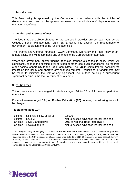### **1. Introduction**

This fees policy is approved by the Corporation in accordance with the Articles of Government, and sets out the general framework under which the College operates its management of fees.

### **2. Setting and approval of fees**

The fees that the College charges for the courses it provides are set each year by the College's Senior Management Team (SMT), taking into account the requirements of government legislation and of the funding agencies.

The Finance and General Purposes (F&GP) Committee will review the Fees Policy on an annual basis, and will recommend any changes to the Corporation for approval.

Where the government and/or funding agencies propose a change in policy which will significantly change the existing level of tuition or other fees, such changes will be reported at the earliest opportunity to the F&GP Committee. The F&GP Committee will consider the impact on this policy and approve any changes required. Transitional arrangements may be made to minimise the risk of any significant rise in fees causing a subsequent significant decline in the level of student enrolments.

#### **3. Tuition fees**

Tuition fees cannot be charged to students aged 16 to 18 in full time or part time education.

For adult learners (aged 19+) on **Further Education (FE)** courses, the following fees will be charged:

#### **FE students aged 19+**

| Full time - all levels below Level 3: | £3,000                                  |
|---------------------------------------|-----------------------------------------|
| Full time $-$ Level 3:                | Not to exceed advanced learner loan cap |
| Part time – Level 2 and below:        | 70% of National Base Rate (NBR)*        |
| Part time – Levels 3 and 4:           | Not to exceed advanced learner loan cap |

\*The College's policy for charging tuition fees for **Further Education (FE)** courses for adult learners on part time courses at Level 2 and below is to charge 70% of the Education and Skills Funding Agency's (ESFA) national base rate (based on 50% of the NBR increased by 5% each year since 2017-18 to 2020-21 to account for rising costs of delivery). However, for 2021-22 and for 2022-23 due to the current economic climate as a result of the impact of COVID-19 on the economy, no increase has been applied to fees. This excludes any courses funded by advanced learner loans, which have a cap set by the Student Loans Company (SLC).

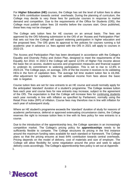For **Higher Education (HE)** courses, the College has set the level of tuition fees to allow for a 64% contribution towards central overheads. During the planning of curriculum, the College may decide to vary these fees for particular courses in response to market demand and competition. Due to the requirements of the Office for Students (OfS), the College must publish tuition fees 18 months before the courses start. Once published, these fees may not be changed.

The College sets tuition fees for HE courses on an annual basis. The fees are approved by the OfS following submission to the OfS of an 'Access and Participation Plan' that sets out how the College will support widening participation in higher education and the proposed fees. The OfS gives its approval to fee policies for courses running a full academic year in advance i.e. fees agreed with the OfS in 2021 will apply to courses in 2022-23.

The Access and Participation Plan has been developed in accordance with the College's Equality and Diversity Policy and Action Plan, designed to meet the requirements of the Equality Act 2010. In 2022-3 the College will spend 12.5% of Higher Fee income above the basic fee on access, student success and progression measures and financial support to underpin its commitment to widening participation. This is set to rise to 12.8% in 2023-24. The College pays, on average, 15% of the fee income it receives to its validating HEIs in the form of capitation fees. The average full time student tuition fee is £6,356. After adjustment for capitation, the net additional income from fees above the basic rate is negative.

Course tuition fees are set for new entrants to an HE course and would normally apply for the anticipated 'standard' duration of a student's programme. The College reviews tuition fees each year and course fees for new entrants may increase, subject to the agreement of the OfS. The expectation is that the College will increase fees for continuing students each year normally in line with inflation as specified by Parliament, normally using the Retail Price Index (RPI) of inflation. Course fees may therefore rise in line with inflation for each year of subsequent study.

Where an HE student's programme exceeds the 'standard' duration of study for reasons of academic performance, deferral or approved extenuating circumstance claims, the College reserves the right to increase tuition fees in line with its fees policy for new entrants to a course.

Due to the introduction of the apprenticeship levy, the College operates in an increasingly competitive market. The College's pricing policy for **apprenticeships** needs to be sufficiently flexible to compete. The College structures its pricing in the first instance around the maximum funding rates available for each standard or framework. The College plans so that the pricing ensures at least 64% contribution towards central overheads. Pricing depends on the model of delivery, cost of materials and size of employer. The College will allow flexibility for some negotiation around the price and seek to adjust delivery costs accordingly. The College's apprenticeship fees policy is set out at Appendix 1.

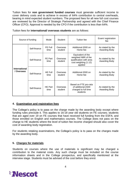Tuition fees for **non government funded courses** must generate sufficient income to cover delivery costs and to achieve in excess of 64% contribution to central overheads, bearing in mind expected student numbers. The proposed fees for all new full cost courses are reviewed by the Director of Strategic Partnership and agreed with the Chief Finance Officer (CFO). Approval is needed by the CFO if the contribution is less than 64%.

| Source of funding                  |              | Mode                   | Student             | <b>Tuition fee</b>                                                                                      | Exam/registration<br>fee          |
|------------------------------------|--------------|------------------------|---------------------|---------------------------------------------------------------------------------------------------------|-----------------------------------|
| <b>International</b><br>/ Overseas | Self-finance | FE Full<br>time        | Overseas<br>student | Additional £500 on<br>Home fee                                                                          | As stated by the<br>Awarding Body |
|                                    | Self-finance | FE Part<br>time        | Overseas<br>student | Equivalent of the<br>weighted NBR of the<br>qualification with area<br>cost weighting (1.12)<br>applied | As stated by the<br>Awarding Body |
|                                    | Self-finance | <b>HE Full</b><br>time | Overseas<br>student | Additional £500 on<br>Home fee                                                                          | As stated by the<br>Awarding Body |
|                                    | Self-finance | HE Part<br>time        | Overseas<br>student | Based on FTE pro-rata<br>of additional £500<br>charged to full time<br>students                         | As stated by the<br>Awarding Body |

Tuition fees for **international/ overseas students** are as follows:

# **4. Examination and registration fees**

The College's policy is to pass on the charge made by the awarding body except where funding rules preclude it. This applies to 16-18 year old students on FE courses; students that are aged over 19 on FE courses that have received full funding from the ESFA; and those enrolled on English and mathematics courses. The College does not pass on the charge to HE students where the level of tuition fee income charged should also cover the cost of awarding body registration.

For students retaking examinations, the College's policy is to pass on the charges made by the awarding body.

#### **5. Charges for materials**

Students on courses where the use of materials is significant may be charged a contribution to the material costs. Any such charge must be included on the course information sheets and in the College prospectus, and specifically mentioned at the interview stage. Students must be advised of the cost before they enrol.

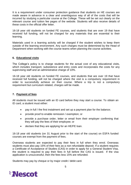It is a requirement under consumer protection guidance that students on HE courses are made aware in advance in a clear and unambiguous way of all of the costs that will be incurred by studying a particular course at the College. These will be set out clearly on the relevant course and tuition fee pages of the website. Students will also receive details of these costs in the official offer letter.

16-18 year old students on funded FE courses, and students that are over 19 that have received full funding, will not be charged for any materials that are essential to their learning.

Materials used in a learning activity will be charged if the student wishes to keep them outside of the learning environment. Any such charges must be determined by the Head of Department when working with the course teams when planning the course activities.

### **6. Educational visits**

The College's policy is to charge students for the actual cost of any educational visits, which includes transport, subsistence and entry costs and incorporates the costs for any supervising staff and an administrative charge of 10%.

16-18 year old students on funded FE courses, and students that are over 19 that have received full funding, will not be charged where the visit is a compulsory requirement in order to successfully achieve on their course. Where a trip is not a compulsory requirement but curriculum related, charges will be made.

# **7. Payment of fees**

All students must be issued with an ID card before they may start a course. To obtain an ID card, a student must either:

- pay in full / the first instalment and set up a payment plan for the balance;
- provide proof to enable remission / exemption; or
- provide a purchase order, letter or email from their employer confirming that they will pay the fees of their employee; or
- declare that they are applying for an HE/FE loan.

16-18 year old students (on 31 August prior to the start of the course) on ESFA funded courses are exempt from the payment of fees.

Overseas students are expected to pay their fees in full when they enrol. Overseas students must also pay 15% of their fees as a non refundable deposit. If a student requires a Certificate of Acceptance of Studies (CAS) in order to apply for a General Student Visa, the student is required to pay their fees in full before the CAS is issued. If the visa application is unsuccessful, then the fees less 15% are refunded.

Students may pay by cheque or by major credit / debit card.

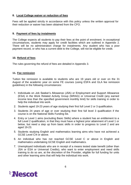# **8. Local College waiver or reduction of fees**

Fees will be applied strictly in accordance with this policy unless the written approval for their reduction or waiver has been obtained from the CFO.

### **9. Payment of fees by instalments**

The College expects all students to pay their fees at the point of enrolment. In exceptional circumstances, students may apply for credit facilities which are outlined in Appendix 2. There will be no administration charge for instalments. Any student who has a poor payment record, or who has a current debt to the College, will not be eligible for credit.

#### **10. Refund of fees**

The rules governing the refund of fees are detailed in Appendix 3.

### **11. Fee remission**

Tuition fee remission is available to students who are 19 years old or over on the 31 August of the academic year on some FE courses (using ESFA and GLA fee remission guidelines) in the following circumstances:

- 1. Individuals on Job Seeker's Allowance (JSA) or Employment and Support Allowance (ESA) in the Work Related Activity Group (WRAG) or Universal Credit (any earned income less than the specified government monthly limit) for skills training in order to help the individual into work.
- 2. Students aged 19-23 years of age studying their first full Level 2 or 3 qualification.
- 3. Students 24 years of age or over studying their first full level 3 qualification if the course is on the National Skills Funding list.
- 4. Entry or Level 1 aims (excluding Basic Skills) where a student has an entitlement to a full Level 2 qualification, in that they must have a highest prior attainment of Level 1 or below, but need a step up from basic skills in order to progress to Level 2 and are aged 19-23.
- 5. Students studying English and mathematics learning aims who have not achieved a GCSE Level C/4 or above.
- 6. An individual who has not reached GCSE Level C or above in English and mathematics undertaking GCSE English and mathematics.
- 7. Unemployed individuals who are in receipt of a means tested state benefit (other than JSA or ESA or Universal Credits), who want to enter employment and need skills training to do so are, at the discretion of the Provider, eligible for full funding for units and other learning aims that will help the individual into work.

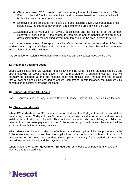- 8. Classroom based ESOL provision will only be fully funded for those who are on JSA, ESA or Universal Credits or unemployed and on a state benefit or low wage, where it is identified as a barrier to employment.
- 9. Employed or self-employed individuals up to and including Level 2 with an annual gross salary below the specified government threshold for the area in which they live.
- 10.Students with or without a full Level 3 qualification and the course is on the London Recovery Flexibilities list, if the student is unemployed and on benefits or has an annual gross salary below the specified government threshold for the area in which they live.

In all cases where receipt of an appropriate benefit is the reason for the remission of fees, the student must sign a College self declaration form or complete the online enrolment information and provide evidence.

Additional fee remission in exceptional circumstances can only be approved by the CFO.

#### **12. Advanced Learning Loans**

Loans will be available via Student Finance England (SFE) for eligible students aged 19 and above studying at Level 3 and Level 4 for FE provision on a qualifying course. Fees will normally be charged at the full national base rate unless local market analysis indicates that a lower fee should be charged to ensure recruitment. In this instance, the minimum 64% contribution to central overheads will stand.

#### **13. Higher Education (HE) Loans**

For HE courses, students may apply to Student Finance England (SFE) for a tuition fee loan.

#### **14. Student withdrawals**

Where **FE students** on an FE course choose to withdraw after 21 days of the official start date of the course, or after 21 days of their first attendance, all fees are due to be paid and any future instalments will still be collected. This includes students who are taking an Advanced Learner Loan. As loan payments to the College cease upon withdrawal, the student will be expected to settle the remaining balance.

**HE students** are directed to refer to the Withdrawal and Interruption of Studies procedure on the College website, which describes the implications of a decision to withdraw from an HE programme or to defer their studies ('interruption of study') for a period of time, the procedures to be followed, and the payment of fees.

Where students on a **non government funded course** choose to withdraw at any stage, all fees are due to be paid in full.

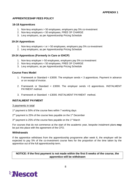# **APPRENTICESHIP FEES POLICY**

#### **16-18 Apprentices**

- 1. Non-levy employers > 50 employees, employers pay 5% co-investment
- 2. Non-levy employers < 50 employees, FREE OF CHARGE
- 3. Levy employers, as per Apprenticeship Pricing Schedule

#### **19-24 Apprentices**

- 1. Non-levy employers < or > 50 employees, employers pay 5% co-investment
- 2. Levy employers, as per Apprenticeship Pricing Schedule

### **19-24 Apprentices (Formerly in Care or EHCP)**

- 1. Non-levy employer > 50 employees, employers pay 5% co-investment
- 2. Non-levy employers < 50 employees, FREE OF CHARGE
- 3. Levy employers, as per Apprenticeship Pricing Schedule

#### **Course Fees Model**

- 1. Framework or Standard < £3000. The employer sends < 3 apprentices. Payment in advance or on receipt of invoice.
- 2. Framework or Standard < £3000. The employer sends >3 apprentices. INSTALMENT PAYMENT method.
- 3. Framework or Standard > £3000. INSTALMENT PAYMENT method.

#### **INSTALMENT PAYMENT**

#### 3 payments in total

- 1<sup>st</sup> payment is 50% of the course fees within 7 working days
- 2<sup>nd</sup> payment is 25% of the course fees payable on the 1<sup>st</sup> December
- 3<sup>rd</sup> payment is 25% of the course fees payable on the 1<sup>st</sup> March

For courses that do not commence at the start of the academic year, bespoke instalment plans **may** be put into place with the agreement of the CFO.

#### **Withdrawals**

If the apprentice withdraws from the apprenticeship programme after week 6, the employer will be expected to pay 5% of the co-investment course fees for the proportion of the time taken by the apprentice out of the full apprenticeship term.

#### **NOTICE: If the first payment is not made within the first 5 weeks of the course, the apprentice will be withdrawn**

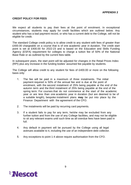## **CREDIT POLICY FOR FEES**

We expect all students to pay their fees at the point of enrolment. In exceptional circumstances, students may apply for credit facilities which are outlined below. Any student who has a bad payment record, or who has a current debt to the College, will not be eligible for credit.

The standard College credit policy is to allow credit to any student with fees of greater than £400.00 chargeable on a course that is of one academic year in duration. The credit start point is set at £400.00 for 2022-23 and is based on the Education and Skills Funding Agency (ESFA) requirement for colleges to charge a tuition fee of 50% of the National Base Rate or as outlined by the current fees table.

In subsequent years, the start point will be adjusted for changes in the Retail Prices Index (RPI) plus any increase in the funding bodies' assumed fee payable by students.

The College will allow credit to any student for fees of £400.00 or more on the following basis only:

- 1. The fee will be paid in a maximum of three instalments. The initial payment required is 50% of the annual fee and is due at the point of enrolment, with the second instalment of 25% being payable at the end of the autumn term and the third instalment of 25% being payable at the end of the spring term. For courses that do not commence at the start of the academic year or are less than one academic year in duration (but are deemed to be of a suitable length), bespoke instalment plans **may** be put into place by the Finance Department with the agreement of the CFO.
- 2. The instalments will be paid by recurring card payments.
- 3. If a student fails to pay for any term, he/she may be excluded from any further tuition and from the use of any College facilities, and may not be eligible to sit any relevant exams until such time as all overdue fees have been paid in full.
- 4. Any default in payment will be pursued by the College using all legal avenues available to it, including the use of an independent debt collector.
- 5. Any exceptions to point 1-4 above require authorisation from the CFO.

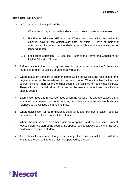### **FEES REFUND POLICY**

- 1. A full refund of all fees paid will be made:
	- 1.1 Where the College has made a decision to close a course for any reason.
	- 1.2 For Further Education (FE) courses. Where the student withdraws within 21 calendar days of the official start date, or within 21 days of their first attendance, of a government funded course which is of one academic year or longer duration.
	- 1.3 For Higher Education (HE) courses. Refer to the Terms and Conditions for Higher Education Students.
- 2. Refunds are not given on non government funded courses unless the College has made the decision to close a course for any reason.
- 3. Where a student transfers to another course within the College, the fees paid for the original course will be transferred to the new course. Where the fee for the new course is higher than for the original course, the balance of fees must be paid. There will be no partial refund if the fee for the new course is lower than for the original course.
- 4. Examination fees and registration fees which the College has already passed on to examination or professional bodies are only refundable where the relevant body has refunded to the College the amounts paid.
- 5. Where qualification for fee remission is established after payment of tuition fees has been made, the relevant sum will be refunded.
- 6. Where the course fees have been paid by a sponsor and the sponsored student leaves before the start of the course, the sponsor will be allowed to transfer the fees paid to a replacement student.
- 7. Applications for a refund of any fees for any other reason must be submitted in writing to the CFO. All refunds must be approved by the CFO.